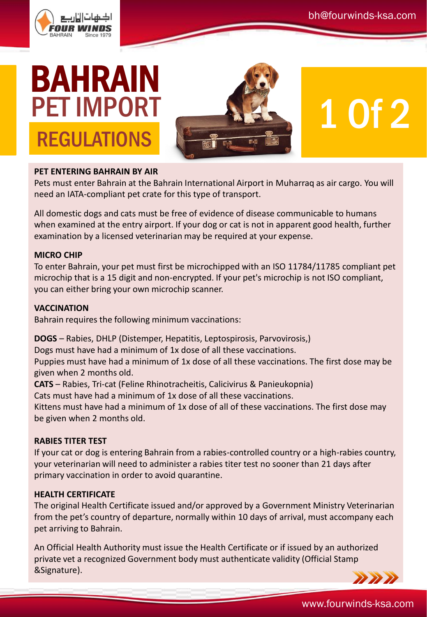

# BAHRAIN PET IMPORT **REGULATIONS**



# 1 Of 2

## **PET ENTERING BAHRAIN BY AIR**

Pets must enter Bahrain at the Bahrain International Airport in Muharraq as air cargo. You will need an IATA-compliant pet crate for this type of transport.

All domestic dogs and cats must be free of evidence of disease communicable to humans when examined at the entry airport. If your dog or cat is not in apparent good health, further examination by a licensed veterinarian may be required at your expense.

### **MICRO CHIP**

To enter Bahrain, your pet must first be microchipped with an ISO 11784/11785 compliant pet microchip that is a 15 digit and non-encrypted. If your pet's microchip is not ISO compliant, you can either bring your own microchip scanner.

#### **VACCINATION**

Bahrain requires the following minimum vaccinations:

**DOGS** – Rabies, DHLP (Distemper, Hepatitis, Leptospirosis, Parvovirosis,)

Dogs must have had a minimum of 1x dose of all these vaccinations.

Puppies must have had a minimum of 1x dose of all these vaccinations. The first dose may be given when 2 months old.

**CATS** – Rabies, Tri-cat (Feline Rhinotracheitis, Calicivirus & Panieukopnia)

Cats must have had a minimum of 1x dose of all these vaccinations.

Kittens must have had a minimum of 1x dose of all of these vaccinations. The first dose may be given when 2 months old.

### **RABIES TITER TEST**

If your cat or dog is entering Bahrain from a rabies-controlled country or a high-rabies country, your veterinarian will need to administer a rabies titer test no sooner than 21 days after primary vaccination in order to avoid quarantine.

### **HEALTH CERTIFICATE**

The original Health Certificate issued and/or approved by a Government Ministry Veterinarian from the pet's country of departure, normally within 10 days of arrival, must accompany each pet arriving to Bahrain.

An Official Health Authority must issue the Health Certificate or if issued by an authorized private vet a recognized Government body must authenticate validity (Official Stamp &Signature).



www.fourwinds-ksa.com